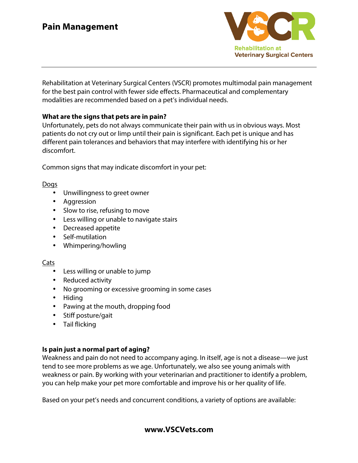

Rehabilitation at Veterinary Surgical Centers (VSCR) promotes multimodal pain management for the best pain control with fewer side effects. Pharmaceutical and complementary modalities are recommended based on a pet's individual needs.

## **What are the signs that pets are in pain?**

Unfortunately, pets do not always communicate their pain with us in obvious ways. Most patients do not cry out or limp until their pain is significant. Each pet is unique and has different pain tolerances and behaviors that may interfere with identifying his or her discomfort.

Common signs that may indicate discomfort in your pet:

## Dogs

- Unwillingness to greet owner
- Aggression
- Slow to rise, refusing to move
- Less willing or unable to navigate stairs
- Decreased appetite
- Self-mutilation
- Whimpering/howling

## Cats

- Less willing or unable to jump
- Reduced activity
- No grooming or excessive grooming in some cases
- Hiding
- Pawing at the mouth, dropping food
- Stiff posture/gait
- Tail flicking

## **Is pain just a normal part of aging?**

Weakness and pain do not need to accompany aging. In itself, age is not a disease—we just tend to see more problems as we age. Unfortunately, we also see young animals with weakness or pain. By working with your veterinarian and practitioner to identify a problem, you can help make your pet more comfortable and improve his or her quality of life.

Based on your pet's needs and concurrent conditions, a variety of options are available: